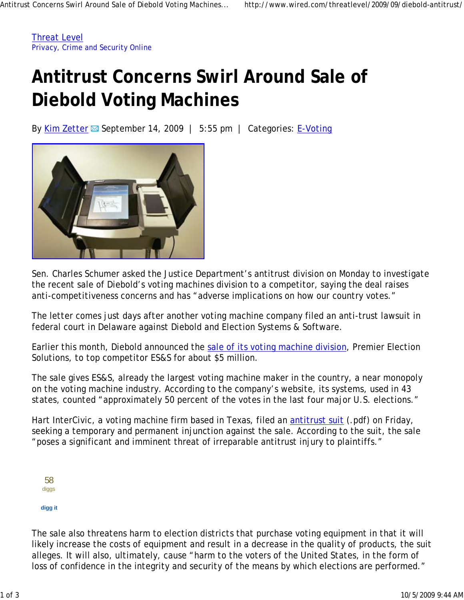Threat Level Privacy, Crime and Security Online

## **Antitrust Concerns Swirl Around Sale of Diebold Voting Machines**

By Kim Zetter  $\boxtimes$  September 14, 2009 | 5:55 pm | Categories: E-Voting



Sen. Charles Schumer asked the Justice Department's antitrust division on Monday to investigate the recent sale of Diebold's voting machines division to a competitor, saying the deal raises anti-competitiveness concerns and has "adverse implications on how our country votes."

The letter comes just days after another voting machine company filed an anti-trust lawsuit in federal court in Delaware against Diebold and Election Systems & Software.

Earlier this month, Diebold announced the sale of its voting machine division, Premier Election Solutions, to top competitor ES&S for about \$5 million.

The sale gives ES&S, already the largest voting machine maker in the country, a near monopoly on the voting machine industry. According to the company's website, its systems, used in 43 states, counted "approximately 50 percent of the votes in the last four major U.S. elections."

Hart InterCivic, a voting machine firm based in Texas, filed an *antitrust suit* (.pdf) on Friday, seeking a temporary and permanent injunction against the sale. According to the suit, the sale "poses a significant and imminent threat of irreparable antitrust injury to plaintiffs."

| dıggs |
|-------|
|       |

## **digg it**

The sale also threatens harm to election districts that purchase voting equipment in that it will likely increase the costs of equipment and result in a decrease in the quality of products, the suit alleges. It will also, ultimately, cause "harm to the voters of the United States, in the form of loss of confidence in the integrity and security of the means by which elections are performed."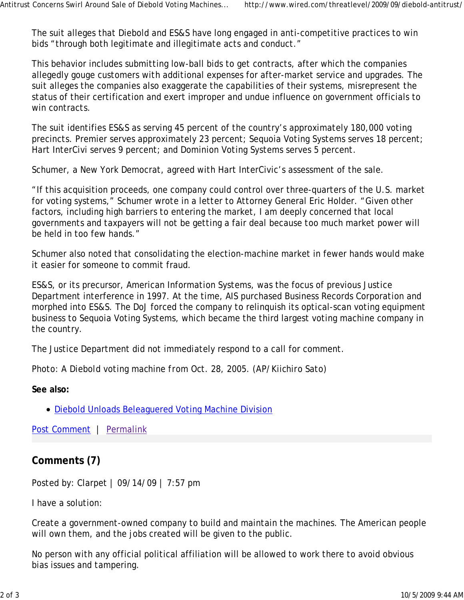The suit alleges that Diebold and ES&S have long engaged in anti-competitive practices to win bids "through both legitimate and illegitimate acts and conduct."

This behavior includes submitting low-ball bids to get contracts, after which the companies allegedly gouge customers with additional expenses for after-market service and upgrades. The suit alleges the companies also exaggerate the capabilities of their systems, misrepresent the status of their certification and exert improper and undue influence on government officials to win contracts.

The suit identifies ES&S as serving 45 percent of the country's approximately 180,000 voting precincts. Premier serves approximately 23 percent; Sequoia Voting Systems serves 18 percent; Hart InterCivi serves 9 percent; and Dominion Voting Systems serves 5 percent.

Schumer, a New York Democrat, agreed with Hart InterCivic's assessment of the sale.

"If this acquisition proceeds, one company could control over three-quarters of the U.S. market for voting systems," Schumer wrote in a letter to Attorney General Eric Holder. "Given other factors, including high barriers to entering the market, I am deeply concerned that local governments and taxpayers will not be getting a fair deal because too much market power will be held in too few hands."

Schumer also noted that consolidating the election-machine market in fewer hands would make it easier for someone to commit fraud.

ES&S, or its precursor, American Information Systems, was the focus of previous Justice Department interference in 1997. At the time, AIS purchased Business Records Corporation and morphed into ES&S. The DoJ forced the company to relinquish its optical-scan voting equipment business to Sequoia Voting Systems, which became the third largest voting machine company in the country.

The Justice Department did not immediately respond to a call for comment.

*Photo: A Diebold voting machine from Oct. 28, 2005. (AP/Kiichiro Sato)*

**See also:**

Diebold Unloads Beleaguered Voting Machine Division

Post Comment | Permalink

## **Comments (7)**

Posted by: Clarpet | 09/14/09 | 7:57 pm

I have a solution:

Create a government-owned company to build and maintain the machines. The American people will own them, and the jobs created will be given to the public.

No person with any official political affiliation will be allowed to work there to avoid obvious bias issues and tampering.